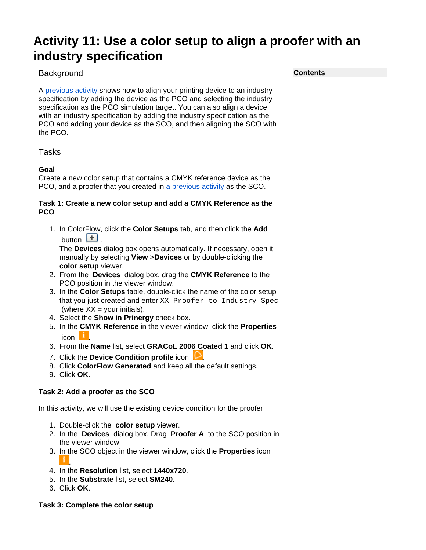# **Activity 11: Use a color setup to align a proofer with an industry specification**

# **Background**

A [previous activity](https://workflowhelp.kodak.com/display/CFT/Activity+9%3A+Use+a+color+setup+to+align+a+press+with+an+industry+specification+for+gray+balance) shows how to align your printing device to an industry specification by adding the device as the PCO and selecting the industry specification as the PCO simulation target. You can also align a device with an industry specification by adding the industry specification as the PCO and adding your device as the SCO, and then aligning the SCO with the PCO.

Tasks

## **Goal**

Create a new color setup that contains a CMYK reference device as the PCO, and a proofer that you created in [a previous activity](https://workflowhelp.kodak.com/display/CFT/Activity+10%3A+Use+a+color+setup+to+align+a+proofer+with+a+press) as the SCO.

### **Task 1: Create a new color setup and add a CMYK Reference as the PCO**

1. In ColorFlow, click the **Color Setups** tab, and then click the **Add** button  $\begin{bmatrix} + \end{bmatrix}$ .

The **Devices** dialog box opens automatically. If necessary, open it manually by selecting **View** >**Devices** or by double-clicking the **color setup** viewer.

- 2. From the **Devices** dialog box, drag the **CMYK Reference** to the PCO position in the viewer window.
- 3. In the **Color Setups** table, double-click the name of the color setup that you just created and enter XX Proofer to Industry Spec (where  $XX =$  your initials).
- 4. Select the **Show in Prinergy** check box.
- 5. In the **CMYK Reference** in the viewer window, click the **Properties**  $i$ con  $\vert$   $\vert$
- 6. From the **Name** list, select **GRACoL 2006 Coated 1** and click **OK**.
- 7. Click the **Device Condition profile** icon **...**
- 8. Click **ColorFlow Generated** and keep all the default settings.
- 9. Click **OK**.

## **Task 2: Add a proofer as the SCO**

In this activity, we will use the existing device condition for the proofer.

- 1. Double-click the **color setup** viewer.
- 2. In the **Devices** dialog box, Drag **Proofer A** to the SCO position in the viewer window.
- 3. In the SCO object in the viewer window, click the **Properties** icon .
- 4. In the **Resolution** list, select **1440x720**.
- 5. In the **Substrate** list, select **SM240**.
- 6. Click **OK**.

#### **Task 3: Complete the color setup**

**Contents**